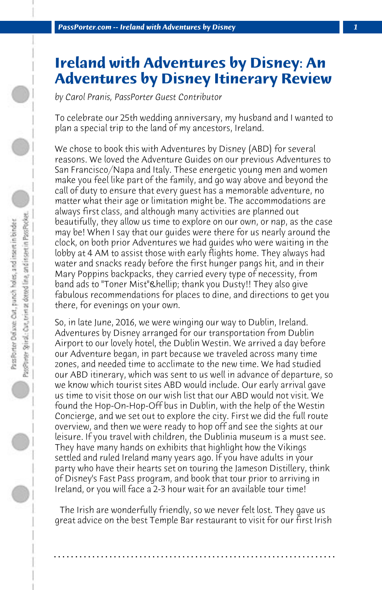## **Ireland with Adventures by Disney: An Adventures by Disney Itinerary Review**

*by Carol Pranis, PassPorter Guest Contributor*

To celebrate our 25th wedding anniversary, my husband and I wanted to plan a special trip to the land of my ancestors, Ireland.

We chose to book this with Adventures by Disney (ABD) for several reasons. We loved the Adventure Guides on our previous Adventures to San Francisco/Napa and Italy. These energetic young men and women make you feel like part of the family, and go way above and beyond the call of duty to ensure that every guest has a memorable adventure, no matter what their age or limitation might be. The accommodations are always first class, and although many activities are planned out beautifully, they allow us time to explore on our own, or nap, as the case may be! When I say that our guides were there for us nearly around the clock, on both prior Adventures we had guides who were waiting in the lobby at 4 AM to assist those with early flights home. They always had water and snacks ready before the first hunger pangs hit, and in their Mary Poppins backpacks, they carried every type of necessity, from band ads to "Toner Mist" & hellip; thank you Dusty!! They also give fabulous recommendations for places to dine, and directions to get you there, for evenings on your own.

So, in late June, 2016, we were winging our way to Dublin, Ireland. Adventures by Disney arranged for our transportation from Dublin Airport to our lovely hotel, the Dublin Westin. We arrived a day before our Adventure began, in part because we traveled across many time zones, and needed time to acclimate to the new time. We had studied our ABD itinerary, which was sent to us well in advance of departure, so we know which tourist sites ABD would include. Our early arrival gave us time to visit those on our wish list that our ABD would not visit. We found the Hop-On-Hop-Off bus in Dublin, with the help of the Westin Concierge, and we set out to explore the city. First we did the full route overview, and then we were ready to hop off and see the sights at our leisure. If you travel with children, the Dublinia museum is a must see. They have many hands on exhibits that highlight how the Vikings settled and ruled Ireland many years ago. If you have adults in your party who have their hearts set on touring the Jameson Distillery, think of Disney's Fast Pass program, and book that tour prior to arriving in Ireland, or you will face a 2-3 hour wait for an available tour time!

 The Irish are wonderfully friendly, so we never felt lost. They gave us great advice on the best Temple Bar restaurant to visit for our first Irish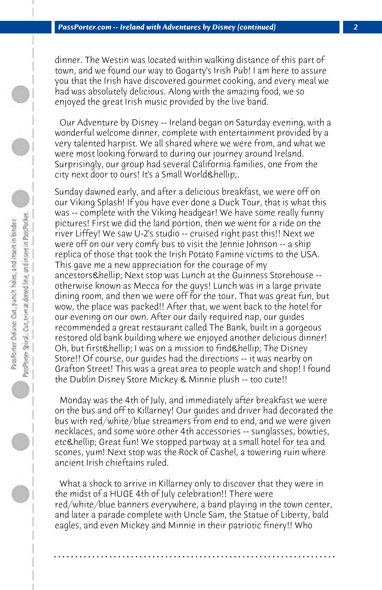dinner. The Westin was located within walking distance of this part of town, and we found our way to Gogarty's Irish Pub! I am here to assure you that the Irish have discovered gourmet cooking, and every meal we had was absolutely delicious. Along with the amazing food, we so enjoyed the great Irish music provided by the live band.

 Our Adventure by Disney -- Ireland began on Saturday evening, with a wonderful welcome dinner, complete with entertainment provided by a very talented harpist. We all shared where we were from, and what we were most looking forward to during our journey around Ireland. Surprisingly, our group had several California families, one from the city next door to ours! It's a Small World & hellip;.

Sunday dawned early, and after a delicious breakfast, we were off on our Viking Splash! If you have ever done a Duck Tour, that is what this was -- complete with the Viking headgear! We have some really funny pictures! First we did the land portion, then we went for a ride on the river Liffey! We saw U-2's studio -- cruised right past this!! Next we were off on our very comfy bus to visit the Jennie Johnson -- a ship replica of those that took the Irish Potato Famine victims to the USA. This gave me a new appreciation for the courage of my ancestors & hellip; Next stop was Lunch at the Guinness Storehouse -otherwise known as Mecca for the guys! Lunch was in a large private dining room, and then we were off for the tour. That was great fun, but wow, the place was packed!! After that, we went back to the hotel for our evening on our own. After our daily required nap, our guides recommended a great restaurant called The Bank, built in a gorgeous restored old bank building where we enjoyed another delicious dinner! Oh, but first & hellip; I was on a mission to find & hellip; The Disney Store!! Of course, our guides had the directions -- it was nearby on Grafton Street! This was a great area to people watch and shop! I found the Dublin Disney Store Mickey & Minnie plush -- too cute!!

 Monday was the 4th of July, and immediately after breakfast we were on the bus and off to Killarney! Our guides and driver had decorated the bus with red/white/blue streamers from end to end, and we were given necklaces, and some wore other 4th accessories -- sunglasses, bowties, etc & hellip; Great fun! We stopped partway at a small hotel for tea and scones, yum! Next stop was the Rock of Cashel, a towering ruin where ancient Irish chieftains ruled.

 What a shock to arrive in Killarney only to discover that they were in the midst of a HUGE 4th of July celebration!! There were red/white/blue banners everywhere, a band playing in the town center, and later a parade complete with Uncle Sam, the Statue of Liberty, bald eagles, and even Mickey and Minnie in their patriotic finery!! Who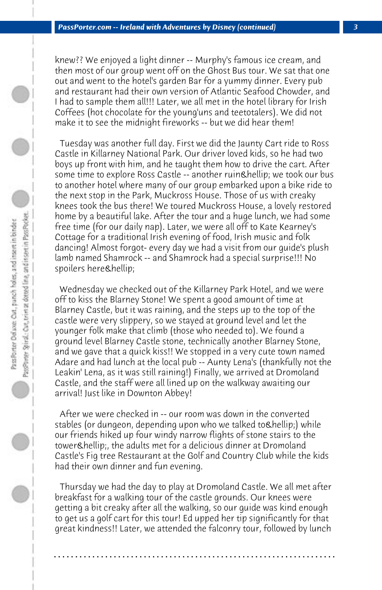knew?? We enjoyed a light dinner -- Murphy's famous ice cream, and then most of our group went off on the Ghost Bus tour. We sat that one out and went to the hotel's garden Bar for a yummy dinner. Every pub and restaurant had their own version of Atlantic Seafood Chowder, and I had to sample them all!!! Later, we all met in the hotel library for Irish Coffees (hot chocolate for the young'uns and teetotalers). We did not make it to see the midnight fireworks -- but we did hear them!

 Tuesday was another full day. First we did the Jaunty Cart ride to Ross Castle in Killarney National Park. Our driver loved kids, so he had two boys up front with him, and he taught them how to drive the cart. After some time to explore Ross Castle -- another ruin & hellip; we took our bus to another hotel where many of our group embarked upon a bike ride to the next stop in the Park, Muckross House. Those of us with creaky knees took the bus there! We toured Muckross House, a lovely restored home by a beautiful lake. After the tour and a huge lunch, we had some free time (for our daily nap). Later, we were all off to Kate Kearney's Cottage for a traditional Irish evening of food, Irish music and folk dancing! Almost forgot- every day we had a visit from our guide's plush lamb named Shamrock -- and Shamrock had a special surprise!!! No spoilers here…

 Wednesday we checked out of the Killarney Park Hotel, and we were off to kiss the Blarney Stone! We spent a good amount of time at Blarney Castle, but it was raining, and the steps up to the top of the castle were very slippery, so we stayed at ground level and let the younger folk make that climb (those who needed to). We found a ground level Blarney Castle stone, technically another Blarney Stone, and we gave that a quick kiss!! We stopped in a very cute town named Adare and had lunch at the local pub -- Aunty Lena's (thankfully not the Leakin' Lena, as it was still raining!) Finally, we arrived at Dromoland Castle, and the staff were all lined up on the walkway awaiting our arrival! Just like in Downton Abbey!

 After we were checked in -- our room was down in the converted stables (or dungeon, depending upon who we talked to…) while our friends hiked up four windy narrow flights of stone stairs to the tower & hellip;, the adults met for a delicious dinner at Dromoland Castle's Fig tree Restaurant at the Golf and Country Club while the kids had their own dinner and fun evening.

 Thursday we had the day to play at Dromoland Castle. We all met after breakfast for a walking tour of the castle grounds. Our knees were getting a bit creaky after all the walking, so our guide was kind enough to get us a golf cart for this tour! Ed upped her tip significantly for that great kindness!! Later, we attended the falconry tour, followed by lunch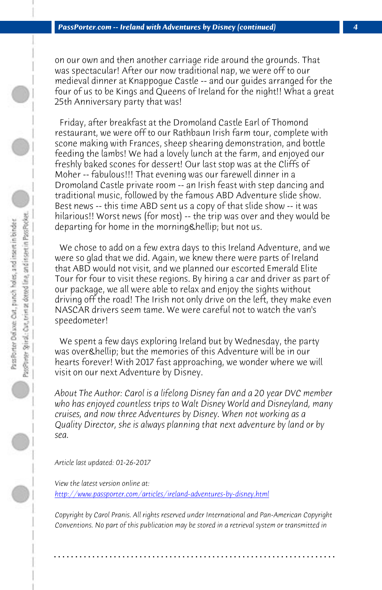*PassPorter.com -- Ireland with Adventures by Disney (continued) 4*

on our own and then another carriage ride around the grounds. That was spectacular! After our now traditional nap, we were off to our medieval dinner at Knappogue Castle -- and our guides arranged for the four of us to be Kings and Queens of Ireland for the night!! What a great 25th Anniversary party that was!

 Friday, after breakfast at the Dromoland Castle Earl of Thomond restaurant, we were off to our Rathbaun Irish farm tour, complete with scone making with Frances, sheep shearing demonstration, and bottle feeding the lambs! We had a lovely lunch at the farm, and enjoyed our freshly baked scones for dessert! Our last stop was at the Cliffs of Moher -- fabulous!!! That evening was our farewell dinner in a Dromoland Castle private room -- an Irish feast with step dancing and traditional music, followed by the famous ABD Adventure slide show. Best news -- this time ABD sent us a copy of that slide show -- it was hilarious!! Worst news (for most) -- the trip was over and they would be departing for home in the morning & hellip; but not us.

 We chose to add on a few extra days to this Ireland Adventure, and we were so glad that we did. Again, we knew there were parts of Ireland that ABD would not visit, and we planned our escorted Emerald Elite Tour for four to visit these regions. By hiring a car and driver as part of our package, we all were able to relax and enjoy the sights without driving off the road! The Irish not only drive on the left, they make even NASCAR drivers seem tame. We were careful not to watch the van's [speedometer!](http://www.passporter.com/articles/ireland-adventures-by-disney.php)

 We spent a few days exploring Ireland but by Wednesday, the party was over & hellip; but the memories of this Adventure will be in our hearts forever! With 2017 fast approaching, we wonder where we will visit on our next Adventure by Disney.

*About The Author: Carol is a lifelong Disney fan and a 20 year DVC member who has enjoyed countless trips to Walt Disney World and Disneyland, many cruises, and now three Adventures by Disney. When not working as a Quality Director, she is always planning that next adventure by land or by sea.*

*Article last updated: 01-26-2017*

*View the latest version online at: http://www.passporter.com/articles/ireland-adventures-by-disney.html*

*Copyright by Carol Pranis. All rights reserved under International and Pan-American Copyright Conventions. No part of this publication may be stored in a retrieval system or transmitted in*